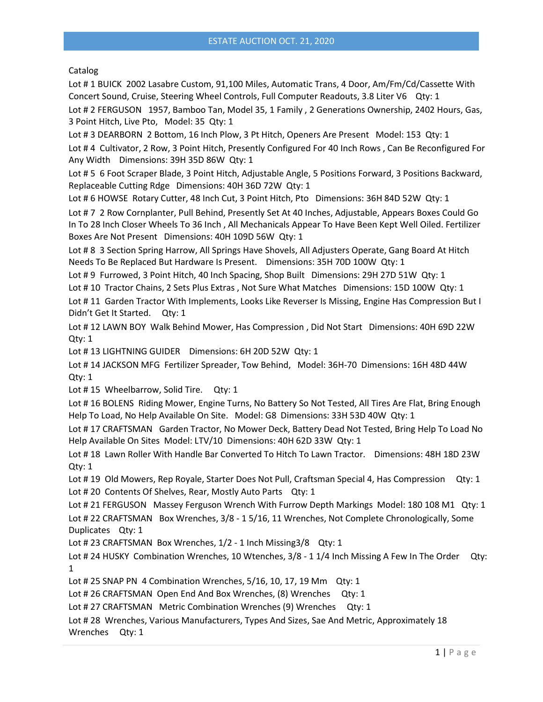## Catalog

Lot # 1 BUICK 2002 Lasabre Custom, 91,100 Miles, Automatic Trans, 4 Door, Am/Fm/Cd/Cassette With Concert Sound, Cruise, Steering Wheel Controls, Full Computer Readouts, 3.8 Liter V6 Qty: 1

Lot # 2 FERGUSON 1957, Bamboo Tan, Model 35, 1 Family , 2 Generations Ownership, 2402 Hours, Gas, 3 Point Hitch, Live Pto, Model: 35 Qty: 1

Lot # 3 DEARBORN 2 Bottom, 16 Inch Plow, 3 Pt Hitch, Openers Are Present Model: 153 Qty: 1 Lot # 4 Cultivator, 2 Row, 3 Point Hitch, Presently Configured For 40 Inch Rows , Can Be Reconfigured For Any Width Dimensions: 39H 35D 86W Qty: 1

Lot # 5 6 Foot Scraper Blade, 3 Point Hitch, Adjustable Angle, 5 Positions Forward, 3 Positions Backward, Replaceable Cutting Rdge Dimensions: 40H 36D 72W Qty: 1

Lot # 6 HOWSE Rotary Cutter, 48 Inch Cut, 3 Point Hitch, Pto Dimensions: 36H 84D 52W Qty: 1

Lot # 7 2 Row Cornplanter, Pull Behind, Presently Set At 40 Inches, Adjustable, Appears Boxes Could Go In To 28 Inch Closer Wheels To 36 Inch , All Mechanicals Appear To Have Been Kept Well Oiled. Fertilizer Boxes Are Not Present Dimensions: 40H 109D 56W Qty: 1

Lot # 8 3 Section Spring Harrow, All Springs Have Shovels, All Adjusters Operate, Gang Board At Hitch Needs To Be Replaced But Hardware Is Present. Dimensions: 35H 70D 100W Qty: 1

Lot #9 Furrowed, 3 Point Hitch, 40 Inch Spacing, Shop Built Dimensions: 29H 27D 51W Qty: 1

Lot # 10 Tractor Chains, 2 Sets Plus Extras, Not Sure What Matches Dimensions: 15D 100W Qty: 1

Lot # 11 Garden Tractor With Implements, Looks Like Reverser Is Missing, Engine Has Compression But I Didn't Get It Started. Qty: 1

Lot # 12 LAWN BOY Walk Behind Mower, Has Compression , Did Not Start Dimensions: 40H 69D 22W Qty: 1

Lot # 13 LIGHTNING GUIDER Dimensions: 6H 20D 52W Qty: 1

Lot # 14 JACKSON MFG Fertilizer Spreader, Tow Behind, Model: 36H-70 Dimensions: 16H 48D 44W Qty: 1

Lot #15 Wheelbarrow, Solid Tire. Qty: 1

Lot # 16 BOLENS Riding Mower, Engine Turns, No Battery So Not Tested, All Tires Are Flat, Bring Enough Help To Load, No Help Available On Site. Model: G8 Dimensions: 33H 53D 40W Qty: 1

Lot # 17 CRAFTSMAN Garden Tractor, No Mower Deck, Battery Dead Not Tested, Bring Help To Load No Help Available On Sites Model: LTV/10 Dimensions: 40H 62D 33W Qty: 1

Lot # 18 Lawn Roller With Handle Bar Converted To Hitch To Lawn Tractor. Dimensions: 48H 18D 23W Qty: 1

Lot # 19 Old Mowers, Rep Royale, Starter Does Not Pull, Craftsman Special 4, Has Compression Qty: 1 Lot #20 Contents Of Shelves, Rear, Mostly Auto Parts Qty: 1

Lot # 21 FERGUSON Massey Ferguson Wrench With Furrow Depth Markings Model: 180 108 M1 Qty: 1 Lot # 22 CRAFTSMAN Box Wrenches, 3/8 - 1 5/16, 11 Wrenches, Not Complete Chronologically, Some Duplicates Qty: 1

Lot #23 CRAFTSMAN Box Wrenches, 1/2 - 1 Inch Missing 3/8 Qty: 1

Lot # 24 HUSKY Combination Wrenches, 10 Wtenches, 3/8 - 1 1/4 Inch Missing A Few In The Order Qty: 1

Lot # 25 SNAP PN 4 Combination Wrenches, 5/16, 10, 17, 19 Mm Qty: 1

Lot # 26 CRAFTSMAN Open End And Box Wrenches, (8) Wrenches Qty: 1

Lot # 27 CRAFTSMAN Metric Combination Wrenches (9) Wrenches Qty: 1

Lot # 28 Wrenches, Various Manufacturers, Types And Sizes, Sae And Metric, Approximately 18 Wrenches Qty: 1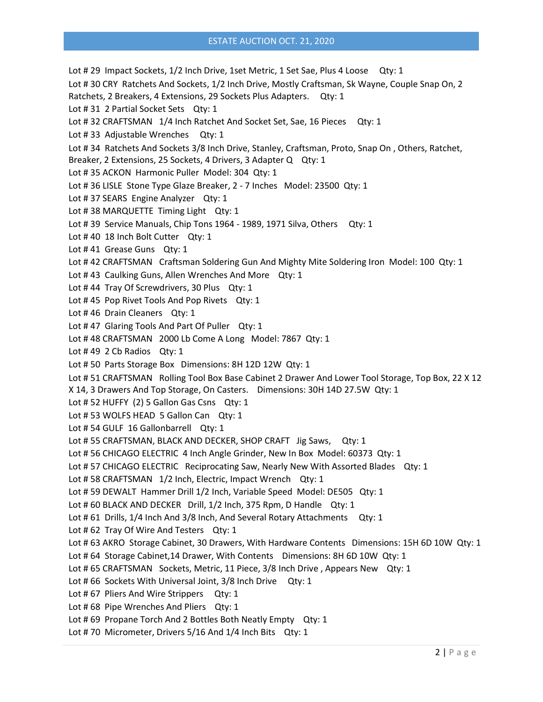## ESTATE AUCTION OCT. 21, 2020

Lot # 29 Impact Sockets, 1/2 Inch Drive, 1set Metric, 1 Set Sae, Plus 4 Loose Qty: 1 Lot # 30 CRY Ratchets And Sockets, 1/2 Inch Drive, Mostly Craftsman, Sk Wayne, Couple Snap On, 2 Ratchets, 2 Breakers, 4 Extensions, 29 Sockets Plus Adapters. Qty: 1 Lot #31 2 Partial Socket Sets Qty: 1 Lot #32 CRAFTSMAN 1/4 Inch Ratchet And Socket Set, Sae, 16 Pieces Qty: 1 Lot #33 Adjustable Wrenches Qty: 1 Lot # 34 Ratchets And Sockets 3/8 Inch Drive, Stanley, Craftsman, Proto, Snap On , Others, Ratchet, Breaker, 2 Extensions, 25 Sockets, 4 Drivers, 3 Adapter Q Qty: 1 Lot # 35 ACKON Harmonic Puller Model: 304 Qty: 1 Lot # 36 LISLE Stone Type Glaze Breaker, 2 - 7 Inches Model: 23500 Qty: 1 Lot #37 SEARS Engine Analyzer Qty: 1 Lot #38 MARQUETTE Timing Light Qty: 1 Lot #39 Service Manuals, Chip Tons 1964 - 1989, 1971 Silva, Others Qty: 1 Lot #40 18 Inch Bolt Cutter Qty: 1 Lot #41 Grease Guns Qty: 1 Lot #42 CRAFTSMAN Craftsman Soldering Gun And Mighty Mite Soldering Iron Model: 100 Qty: 1 Lot #43 Caulking Guns, Allen Wrenches And More Qty: 1 Lot #44 Tray Of Screwdrivers, 30 Plus Qty: 1 Lot #45 Pop Rivet Tools And Pop Rivets Qty: 1 Lot #46 Drain Cleaners Qty: 1 Lot #47 Glaring Tools And Part Of Puller Qty: 1 Lot #48 CRAFTSMAN 2000 Lb Come A Long Model: 7867 Qty: 1 Lot #49 2 Cb Radios Qty: 1 Lot # 50 Parts Storage Box Dimensions: 8H 12D 12W Qty: 1 Lot # 51 CRAFTSMAN Rolling Tool Box Base Cabinet 2 Drawer And Lower Tool Storage, Top Box, 22 X 12 X 14, 3 Drawers And Top Storage, On Casters. Dimensions: 30H 14D 27.5W Qty: 1 Lot # 52 HUFFY (2) 5 Gallon Gas Csns Qty: 1 Lot # 53 WOLFS HEAD 5 Gallon Can Qty: 1 Lot #54 GULF 16 Gallonbarrell Qty: 1 Lot # 55 CRAFTSMAN, BLACK AND DECKER, SHOP CRAFT Jig Saws, Qty: 1 Lot # 56 CHICAGO ELECTRIC 4 Inch Angle Grinder, New In Box Model: 60373 Qty: 1 Lot # 57 CHICAGO ELECTRIC Reciprocating Saw, Nearly New With Assorted Blades Qty: 1 Lot # 58 CRAFTSMAN 1/2 Inch, Electric, Impact Wrench Qty: 1 Lot # 59 DEWALT Hammer Drill 1/2 Inch, Variable Speed Model: DE505 Qty: 1 Lot #60 BLACK AND DECKER Drill, 1/2 Inch, 375 Rpm, D Handle Qty: 1 Lot #61 Drills, 1/4 Inch And 3/8 Inch, And Several Rotary Attachments Qty: 1 Lot #62 Tray Of Wire And Testers Qty: 1 Lot # 63 AKRO Storage Cabinet, 30 Drawers, With Hardware Contents Dimensions: 15H 6D 10W Qty: 1 Lot # 64 Storage Cabinet, 14 Drawer, With Contents Dimensions: 8H 6D 10W Qty: 1 Lot #65 CRAFTSMAN Sockets, Metric, 11 Piece, 3/8 Inch Drive, Appears New Qty: 1 Lot #66 Sockets With Universal Joint, 3/8 Inch Drive Qty: 1 Lot # 67 Pliers And Wire Strippers Qty: 1 Lot #68 Pipe Wrenches And Pliers Qty: 1 Lot #69 Propane Torch And 2 Bottles Both Neatly Empty Qty: 1 Lot #70 Micrometer, Drivers 5/16 And 1/4 Inch Bits Qty: 1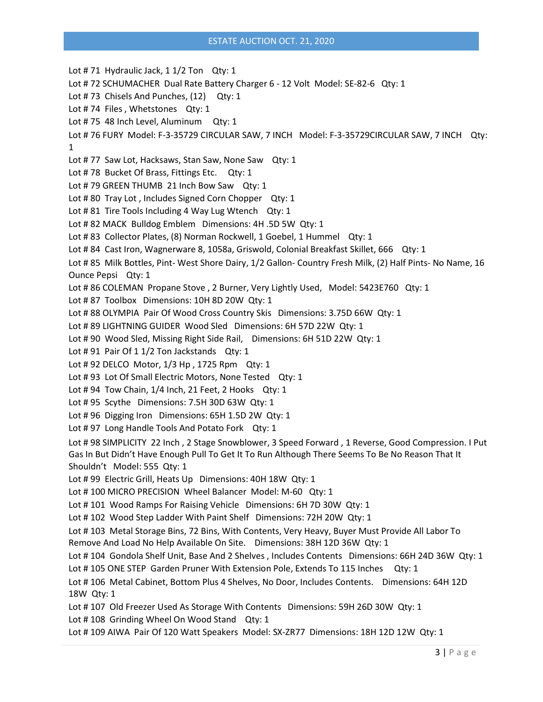## ESTATE AUCTION OCT. 21, 2020

Lot #71 Hydraulic Jack, 1 1/2 Ton Qty: 1 Lot # 72 SCHUMACHER Dual Rate Battery Charger 6 - 12 Volt Model: SE-82-6 Qty: 1 Lot #73 Chisels And Punches, (12) Qty: 1 Lot #74 Files, Whetstones Qty: 1 Lot # 75 48 Inch Level, Aluminum Qty: 1 Lot # 76 FURY Model: F-3-35729 CIRCULAR SAW, 7 INCH Model: F-3-35729CIRCULAR SAW, 7 INCH Qty: 1 Lot # 77 Saw Lot, Hacksaws, Stan Saw, None Saw Qty: 1 Lot #78 Bucket Of Brass, Fittings Etc. Qty: 1 Lot #79 GREEN THUMB 21 Inch Bow Saw Qty: 1 Lot #80 Tray Lot, Includes Signed Corn Chopper Qty: 1 Lot #81 Tire Tools Including 4 Way Lug Wtench Qty: 1 Lot # 82 MACK Bulldog Emblem Dimensions: 4H .5D 5W Qty: 1 Lot # 83 Collector Plates, (8) Norman Rockwell, 1 Goebel, 1 Hummel Qty: 1 Lot #84 Cast Iron, Wagnerware 8, 1058a, Griswold, Colonial Breakfast Skillet, 666 Qty: 1 Lot # 85 Milk Bottles, Pint- West Shore Dairy, 1/2 Gallon- Country Fresh Milk, (2) Half Pints- No Name, 16 Ounce Pepsi Qty: 1 Lot # 86 COLEMAN Propane Stove , 2 Burner, Very Lightly Used, Model: 5423E760 Qty: 1 Lot # 87 Toolbox Dimensions: 10H 8D 20W Qty: 1 Lot # 88 OLYMPIA Pair Of Wood Cross Country Skis Dimensions: 3.75D 66W Qty: 1 Lot # 89 LIGHTNING GUIDER Wood Sled Dimensions: 6H 57D 22W Qty: 1 Lot # 90 Wood Sled, Missing Right Side Rail, Dimensions: 6H 51D 22W Qty: 1 Lot # 91 Pair Of 1 1/2 Ton Jackstands Qty: 1 Lot # 92 DELCO Motor, 1/3 Hp , 1725 Rpm Qty: 1 Lot # 93 Lot Of Small Electric Motors, None Tested Qty: 1 Lot # 94 Tow Chain, 1/4 Inch, 21 Feet, 2 Hooks Qty: 1 Lot # 95 Scythe Dimensions: 7.5H 30D 63W Qty: 1 Lot # 96 Digging Iron Dimensions: 65H 1.5D 2W Qty: 1 Lot # 97 Long Handle Tools And Potato Fork Qty: 1 Lot # 98 SIMPLICITY 22 Inch , 2 Stage Snowblower, 3 Speed Forward , 1 Reverse, Good Compression. I Put Gas In But Didn't Have Enough Pull To Get It To Run Although There Seems To Be No Reason That It Shouldn't Model: 555 Qty: 1 Lot # 99 Electric Grill, Heats Up Dimensions: 40H 18W Qty: 1 Lot # 100 MICRO PRECISION Wheel Balancer Model: M-60 Qty: 1 Lot # 101 Wood Ramps For Raising Vehicle Dimensions: 6H 7D 30W Qty: 1 Lot # 102 Wood Step Ladder With Paint Shelf Dimensions: 72H 20W Qty: 1 Lot # 103 Metal Storage Bins, 72 Bins, With Contents, Very Heavy, Buyer Must Provide All Labor To Remove And Load No Help Available On Site. Dimensions: 38H 12D 36W Qty: 1 Lot # 104 Gondola Shelf Unit, Base And 2 Shelves, Includes Contents Dimensions: 66H 24D 36W Qty: 1 Lot #105 ONE STEP Garden Pruner With Extension Pole, Extends To 115 Inches Qty: 1 Lot # 106 Metal Cabinet, Bottom Plus 4 Shelves, No Door, Includes Contents. Dimensions: 64H 12D 18W Qty: 1 Lot #107 Old Freezer Used As Storage With Contents Dimensions: 59H 26D 30W Qty: 1 Lot #108 Grinding Wheel On Wood Stand Qty: 1 Lot # 109 AIWA Pair Of 120 Watt Speakers Model: SX-ZR77 Dimensions: 18H 12D 12W Qty: 1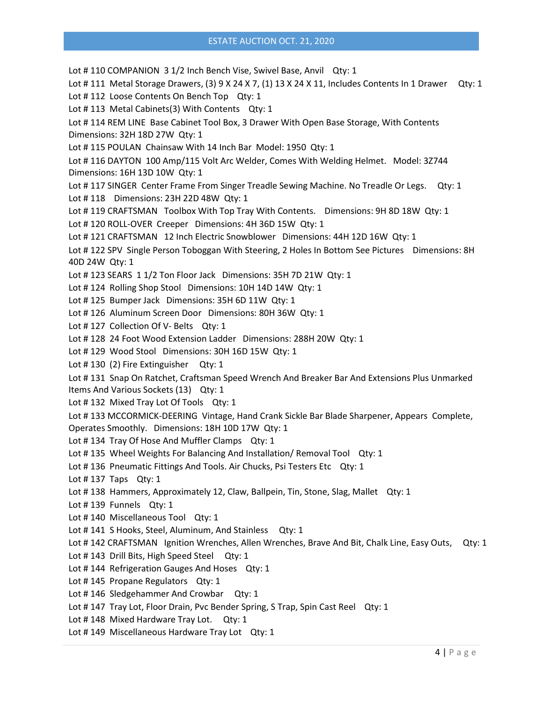Lot #110 COMPANION 31/2 Inch Bench Vise, Swivel Base, Anvil Qty: 1 Lot # 111 Metal Storage Drawers, (3) 9 X 24 X 7, (1) 13 X 24 X 11, Includes Contents In 1 Drawer Qty: 1 Lot #112 Loose Contents On Bench Top Qty: 1 Lot #113 Metal Cabinets(3) With Contents Qty: 1 Lot # 114 REM LINE Base Cabinet Tool Box, 3 Drawer With Open Base Storage, With Contents Dimensions: 32H 18D 27W Qty: 1 Lot # 115 POULAN Chainsaw With 14 Inch Bar Model: 1950 Qty: 1 Lot # 116 DAYTON 100 Amp/115 Volt Arc Welder, Comes With Welding Helmet. Model: 3Z744 Dimensions: 16H 13D 10W Qty: 1 Lot #117 SINGER Center Frame From Singer Treadle Sewing Machine. No Treadle Or Legs. Qty: 1 Lot # 118 Dimensions: 23H 22D 48W Qty: 1 Lot # 119 CRAFTSMAN Toolbox With Top Tray With Contents. Dimensions: 9H 8D 18W Qty: 1 Lot # 120 ROLL-OVER Creeper Dimensions: 4H 36D 15W Qty: 1 Lot # 121 CRAFTSMAN 12 Inch Electric Snowblower Dimensions: 44H 12D 16W Qty: 1 Lot #122 SPV Single Person Toboggan With Steering, 2 Holes In Bottom See Pictures Dimensions: 8H 40D 24W Qty: 1 Lot # 123 SEARS 1 1/2 Ton Floor Jack Dimensions: 35H 7D 21W Qty: 1 Lot # 124 Rolling Shop Stool Dimensions: 10H 14D 14W Qty: 1 Lot # 125 Bumper Jack Dimensions: 35H 6D 11W Qty: 1 Lot # 126 Aluminum Screen Door Dimensions: 80H 36W Qty: 1 Lot #127 Collection Of V- Belts Qty: 1 Lot # 128 24 Foot Wood Extension Ladder Dimensions: 288H 20W Qty: 1 Lot # 129 Wood Stool Dimensions: 30H 16D 15W Qty: 1 Lot #130 (2) Fire Extinguisher Qty: 1 Lot # 131 Snap On Ratchet, Craftsman Speed Wrench And Breaker Bar And Extensions Plus Unmarked Items And Various Sockets (13) Qty: 1 Lot #132 Mixed Tray Lot Of Tools Qty: 1 Lot # 133 MCCORMICK-DEERING Vintage, Hand Crank Sickle Bar Blade Sharpener, Appears Complete, Operates Smoothly. Dimensions: 18H 10D 17W Qty: 1 Lot #134 Tray Of Hose And Muffler Clamps Qty: 1 Lot #135 Wheel Weights For Balancing And Installation/ Removal Tool Qty: 1 Lot #136 Pneumatic Fittings And Tools. Air Chucks, Psi Testers Etc Qty: 1 Lot # 137 Taps Qty: 1 Lot # 138 Hammers, Approximately 12, Claw, Ballpein, Tin, Stone, Slag, Mallet Qty: 1 Lot #139 Funnels Qty: 1 Lot #140 Miscellaneous Tool Qty: 1 Lot #141 S Hooks, Steel, Aluminum, And Stainless Qty: 1 Lot #142 CRAFTSMAN Ignition Wrenches, Allen Wrenches, Brave And Bit, Chalk Line, Easy Outs, Qty: 1 Lot #143 Drill Bits, High Speed Steel Qty: 1 Lot #144 Refrigeration Gauges And Hoses Qty: 1 Lot #145 Propane Regulators Qty: 1 Lot #146 Sledgehammer And Crowbar Qty: 1 Lot #147 Tray Lot, Floor Drain, Pvc Bender Spring, S Trap, Spin Cast Reel Qty: 1 Lot #148 Mixed Hardware Tray Lot. Qty: 1 Lot #149 Miscellaneous Hardware Tray Lot Qty: 1